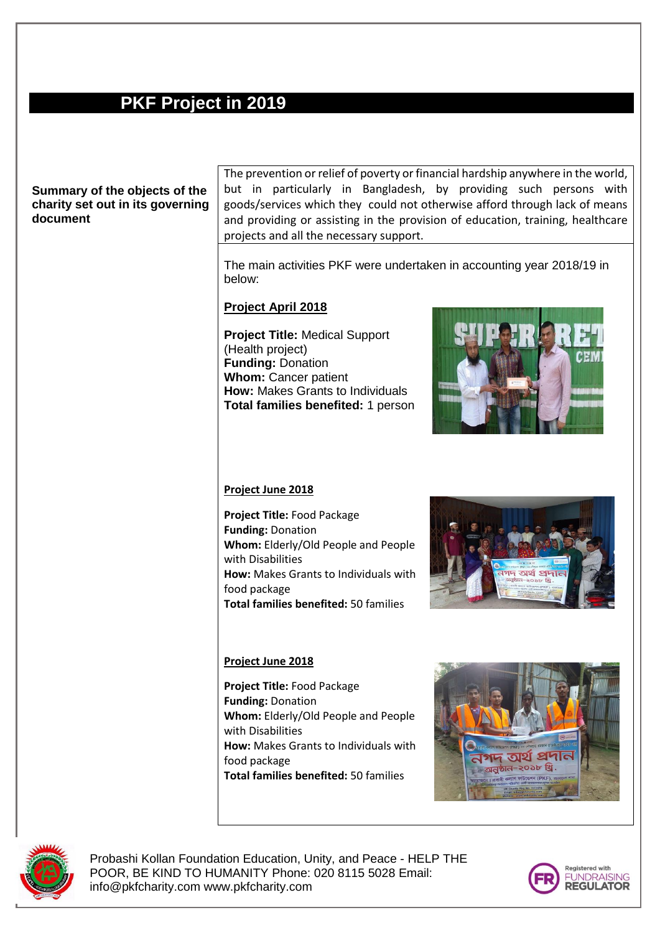## **PKF Project in 2019**

#### **Summary of the objects of the charity set out in its governing document**

The prevention or relief of poverty or financial hardship anywhere in the world, but in particularly in Bangladesh, by providing such persons with goods/services which they could not otherwise afford through lack of means and providing or assisting in the provision of education, training, healthcare projects and all the necessary support.

The main activities PKF were undertaken in accounting year 2018/19 in below:

#### **Project April 2018**

**Project Title:** Medical Support (Health project) **Funding:** Donation **Whom:** Cancer patient **How:** Makes Grants to Individuals **Total families benefited:** 1 person



#### **Project June 2018**

**Project Title:** Food Package **Funding:** Donation **Whom:** Elderly/Old People and People with Disabilities **How:** Makes Grants to Individuals with food package **Total families benefited:** 50 families



#### **Project June 2018**

**Project Title:** Food Package **Funding:** Donation **Whom:** Elderly/Old People and People with Disabilities **How:** Makes Grants to Individuals with food package **Total families benefited:** 50 families





Probashi Kollan Foundation Education, Unity, and Peace - HELP THE POOR, BE KIND TO HUMANITY Phone: 020 8115 5028 Email: info@pkfcharity.com www.pkfcharity.com

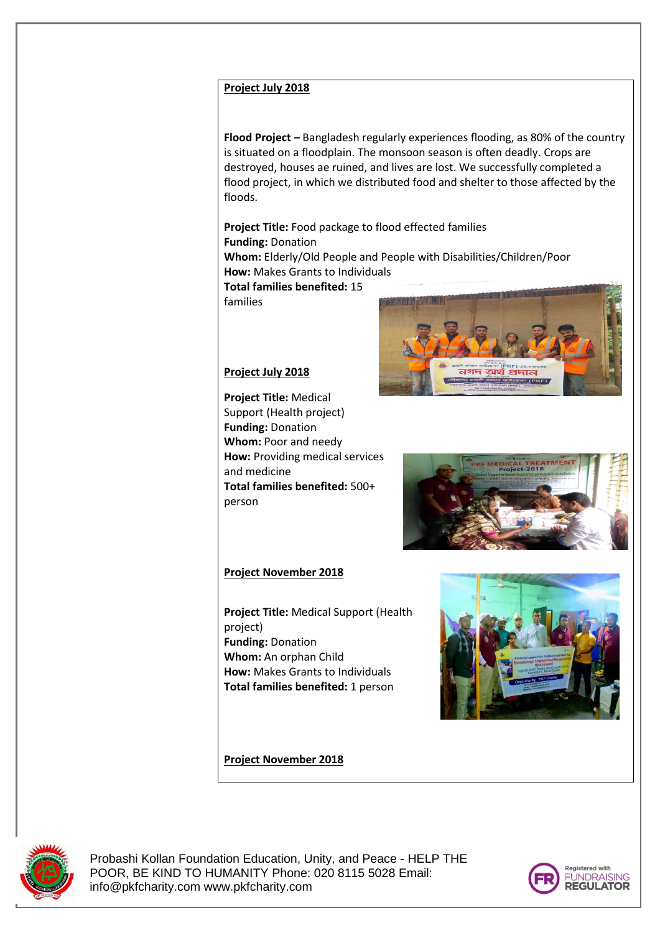#### **Project July 2018**

**Flood Project –** Bangladesh regularly experiences flooding, as 80% of the country is situated on a floodplain. The monsoon season is often deadly. Crops are destroyed, houses ae ruined, and lives are lost. We successfully completed a flood project, in which we distributed food and shelter to those affected by the floods.

**Project Title:** Food package to flood effected families **Funding:** Donation **Whom:** Elderly/Old People and People with Disabilities/Children/Poor **How:** Makes Grants to Individuals

**Total families benefited:** 15

families

#### **Project July 2018**

**Project Title:** Medical Support (Health project) **Funding:** Donation **Whom:** Poor and needy **How:** Providing medical services and medicine **Total families benefited:** 500+ person



# **Project November 2018**

**Project Title:** Medical Support (Health project) **Funding:** Donation **Whom:** An orphan Child **How:** Makes Grants to Individuals **Total families benefited:** 1 person





#### **Project November 2018**



Probashi Kollan Foundation Education, Unity, and Peace - HELP THE POOR, BE KIND TO HUMANITY Phone: 020 8115 5028 Email: info@pkfcharity.com www.pkfcharity.com